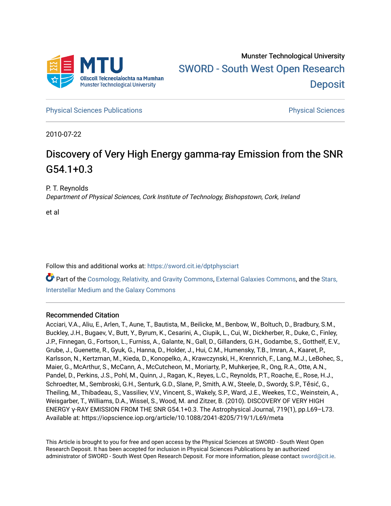

**[Physical Sciences Publications](https://sword.cit.ie/dptphysciart) Provide Access Publications Physical Sciences** Physical Sciences

2010-07-22

# Discovery of Very High Energy gamma-ray Emission from the SNR G54.1+0.3

P. T. Reynolds

Department of Physical Sciences, Cork Institute of Technology, Bishopstown, Cork, Ireland

et al

Follow this and additional works at: [https://sword.cit.ie/dptphysciart](https://sword.cit.ie/dptphysciart?utm_source=sword.cit.ie%2Fdptphysciart%2F106&utm_medium=PDF&utm_campaign=PDFCoverPages)

Part of the [Cosmology, Relativity, and Gravity Commons,](http://network.bepress.com/hgg/discipline/129?utm_source=sword.cit.ie%2Fdptphysciart%2F106&utm_medium=PDF&utm_campaign=PDFCoverPages) [External Galaxies Commons](http://network.bepress.com/hgg/discipline/128?utm_source=sword.cit.ie%2Fdptphysciart%2F106&utm_medium=PDF&utm_campaign=PDFCoverPages), and the [Stars,](http://network.bepress.com/hgg/discipline/127?utm_source=sword.cit.ie%2Fdptphysciart%2F106&utm_medium=PDF&utm_campaign=PDFCoverPages)  [Interstellar Medium and the Galaxy Commons](http://network.bepress.com/hgg/discipline/127?utm_source=sword.cit.ie%2Fdptphysciart%2F106&utm_medium=PDF&utm_campaign=PDFCoverPages) 

# Recommended Citation

Acciari, V.A., Aliu, E., Arlen, T., Aune, T., Bautista, M., Beilicke, M., Benbow, W., Boltuch, D., Bradbury, S.M., Buckley, J.H., Bugaev, V., Butt, Y., Byrum, K., Cesarini, A., Ciupik, L., Cui, W., Dickherber, R., Duke, C., Finley, J.P., Finnegan, G., Fortson, L., Furniss, A., Galante, N., Gall, D., Gillanders, G.H., Godambe, S., Gotthelf, E.V., Grube, J., Guenette, R., Gyuk, G., Hanna, D., Holder, J., Hui, C.M., Humensky, T.B., Imran, A., Kaaret, P., Karlsson, N., Kertzman, M., Kieda, D., Konopelko, A., Krawczynski, H., Krennrich, F., Lang, M.J., LeBohec, S., Maier, G., McArthur, S., McCann, A., McCutcheon, M., Moriarty, P., Muhkerjee, R., Ong, R.A., Otte, A.N., Pandel, D., Perkins, J.S., Pohl, M., Quinn, J., Ragan, K., Reyes, L.C., Reynolds, P.T., Roache, E., Rose, H.J., Schroedter, M., Sembroski, G.H., Senturk, G.D., Slane, P., Smith, A.W., Steele, D., Swordy, S.P., Těsić, G., Theiling, M., Thibadeau, S., Vassiliev, V.V., Vincent, S., Wakely, S.P., Ward, J.E., Weekes, T.C., Weinstein, A., Weisgarber, T., Williams, D.A., Wissel, S., Wood, M. and Zitzer, B. (2010). DISCOVERY OF VERY HIGH ENERGY γ-RAY EMISSION FROM THE SNR G54.1+0.3. The Astrophysical Journal, 719(1), pp.L69–L73. Available at: https://iopscience.iop.org/article/10.1088/2041-8205/719/1/L69/meta

This Article is brought to you for free and open access by the Physical Sciences at SWORD - South West Open Research Deposit. It has been accepted for inclusion in Physical Sciences Publications by an authorized administrator of SWORD - South West Open Research Deposit. For more information, please contact [sword@cit.ie.](mailto:sword@cit.ie)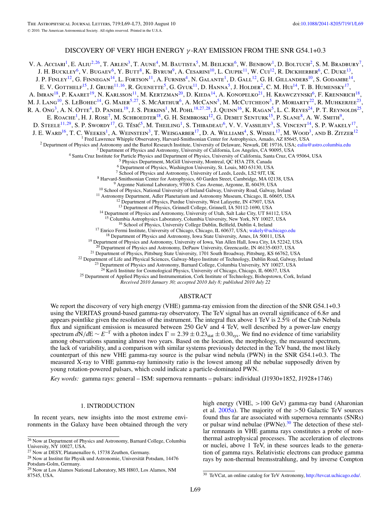## DISCOVERY OF VERY HIGH ENERGY *γ* -RAY EMISSION FROM THE SNR G54.1+0.3

V. A. Acciari<sup>1</sup>, E. Aliu<sup>2,26</sup>, T. Arlen<sup>3</sup>, T. Aune<sup>4</sup>, M. Bautista<sup>5</sup>, M. Beilicke<sup>6</sup>, W. Benbow<sup>1</sup>, D. Boltuch<sup>2</sup>, S. M. Bradbury<sup>7</sup>, J. H. BUCKLEY<sup>6</sup>, V. BUGAEV<sup>6</sup>, Y. BUTT<sup>8</sup>, K. BYRUM<sup>9</sup>, A. CESARINI<sup>10</sup>, L. CIUPIK<sup>11</sup>, W. CUI<sup>12</sup>, R. DICKHERBER<sup>6</sup>, C. DUKE<sup>13</sup>, J. P. FINLEY<sup>12</sup>, G. FINNEGAN<sup>14</sup>, L. FORTSON<sup>11</sup>, A. FURNISS<sup>4</sup>, N. GALANTE<sup>1</sup>, D. GALL<sup>12</sup>, G. H. GILLANDERS<sup>10</sup>, S. GODAMBE<sup>14</sup>, E. V. GOTTHELF<sup>15</sup>, J. GRUBE<sup>11, 16</sup>, R. GUENETTE<sup>5</sup>, G. GYUK<sup>11</sup>, D. HANNA<sup>5</sup>, J. HOLDER<sup>2</sup>, C. M. HUI<sup>14</sup>, T. B. HUMENSKY<sup>17</sup>, A. Imran<sup>18</sup>, P. Kaaret<sup>19</sup>, N. Karlsson<sup>11</sup>, M. Kertzman<sup>20</sup>, D. Kieda<sup>14</sup>, A. Konopelko<sup>21</sup>, H. Krawczynski<sup>6</sup>, F. Krennrich<sup>18</sup>, M. J. Lang<sup>10</sup>, S. LeBohec<sup>14</sup>, G. Maier<sup>5,27</sup>, S. McArthur<sup>6</sup>, A. McCann<sup>5</sup>, M. McCutcheon<sup>5</sup>, P. Moriarty<sup>22</sup>, R. Muhkerjee<sup>23</sup>, R. A. Ong<sup>3</sup>, A. N. Otte<sup>4</sup>, D. Pandel<sup>19</sup>, J. S. Perkins<sup>1</sup>, M. Pohl<sup>18,27,28</sup>, J. Quinn<sup>16</sup>, K. Ragan<sup>5</sup>, L. C. Reyes<sup>24</sup>, P. T. Reynolds<sup>25</sup>, E. ROACHE<sup>1</sup>, H. J. ROSE<sup>7</sup>, M. SCHROEDTER<sup>18</sup>, G. H. SEMBROSKI<sup>12</sup>, G. DEMET SENTURK<sup>15</sup>, P. SLANE<sup>8</sup>, A. W. SMITH<sup>9</sup>, D. STEELE<sup>11,29</sup>, S. P. SWORDY<sup>17</sup>, G. Těsić<sup>5</sup>, M. Theiling<sup>1</sup>, S. Thibadeau<sup>6</sup>, V. V. Vassiliev<sup>3</sup>, S. Vincent<sup>14</sup>, S. P. Wakely<sup>17</sup>, J. E. Ward<sup>16</sup>, T. C. Weekes<sup>1</sup>, A. Weinstein<sup>3</sup>, T. Weisgarber<sup>17</sup>, D. A. Williams<sup>4</sup>, S. Wissel<sup>17</sup>, M. Wood<sup>3</sup>, and B. Zitzer<sup>12</sup> <sup>1</sup> Fred Lawrence Whipple Observatory, Harvard-Smithsonian Center for Astrophysics, Amado, AZ 85645, USA<br>
<sup>2</sup> Department of Physics and Astronomy and the Bartol Research Institute, University of Delaware, Newark, DE 19716 <sup>12</sup> Department of Physics, Purdue University, West Lafayette, IN 47907, USA<br><sup>13</sup> Department of Physics, Grinnell College, Grinnell, IA 50112-1690, USA<br><sup>14</sup> Department of Physics and Astronomy, University of Utah, Salt Lak <sup>16</sup> School of Physics, University College Dublin, Belfield, Dublin 4, Ireland<br><sup>17</sup> Enrico Fermi Institute, University of Chicago, Chicago, IL 60637, USA; [wakely@uchicago.edu](mailto:wakely@uchicago.edu)<br><sup>18</sup> Department of Physics and Astronomy, Iowa <sup>21</sup> Department of Physics, Pittsburg State University, 1701 South Broadway, Pittsburg, KS 66762, USA<br><sup>22</sup> Department of Life and Physical Sciences, Galway-Mayo Institute of Technology, Dublin Road, Galway, Ireland<br><sup>23</sup> D

<sup>25</sup> Department of Applied Physics and Instrumentation, Cork Institute of Technology, Bishopstown, Cork, Ireland

*Received 2010 January 30; accepted 2010 July 8; published 2010 July 22*

#### ABSTRACT

We report the discovery of very high energy (VHE) gamma-ray emission from the direction of the SNR G54.1+0.3 using the VERITAS ground-based gamma-ray observatory. The TeV signal has an overall significance of 6.8*σ* and appears pointlike given the resolution of the instrument. The integral flux above 1 TeV is 2.5% of the Crab Nebula flux and significant emission is measured between 250 GeV and 4 TeV, well described by a power-law energy spectrum  $dN/dE \sim E^{-\Gamma}$  with a photon index  $\Gamma = 2.39 \pm 0.23_{\text{stat}} \pm 0.30_{\text{sys}}$ . We find no evidence of time variability among observations spanning almost two years. Based on the location, the morphology, the measured spectrum, the lack of variability, and a comparison with similar systems previously detected in the TeV band, the most likely counterpart of this new VHE gamma-ray source is the pulsar wind nebula (PWN) in the SNR G54.1+0.3. The measured X-ray to VHE gamma-ray luminosity ratio is the lowest among all the nebulae supposedly driven by young rotation-powered pulsars, which could indicate a particle-dominated PWN.

*Key words:* gamma rays: general – ISM: supernova remnants – pulsars: individual (J1930+1852, J1928+1746)

#### 1. INTRODUCTION

In recent years, new insights into the most extreme environments in the Galaxy have been obtained through the very high energy (VHE, *>*100 GeV) gamma-ray band (Aharonian et al. [2005a\)](#page-5-0). The majority of the *>*50 Galactic TeV sources found thus far are associated with supernova remnants (SNRs) or pulsar wind nebulae (PWNe).<sup>30</sup> The detection of these stellar remnants in VHE gamma rays constitutes a probe of nonthermal astrophysical processes. The acceleration of electrons or nuclei, above 1 TeV, in these sources leads to the generation of gamma rays. Relativistic electrons can produce gamma rays by non-thermal bremsstrahlung, and by inverse Compton

<sup>30</sup> TeVCat, an online catalog for TeV Astronomy, [http://tevcat.uchicago.edu/.](http://tevcat.uchicago.edu/)

<sup>26</sup> Now at Department of Physics and Astronomy, Barnard College, Columbia University, NY 10027, USA.

<sup>27</sup> Now at DESY, Platanenallee 6, 15738 Zeuthen, Germany.

 $^{28}$  Now at Institut für Physik und Astronomie, Universität Potsdam, 14476 Potsdam-Golm, Germany.

<sup>29</sup> Now at Los Alamos National Laboratory, MS H803, Los Alamos, NM 87545, USA.

L69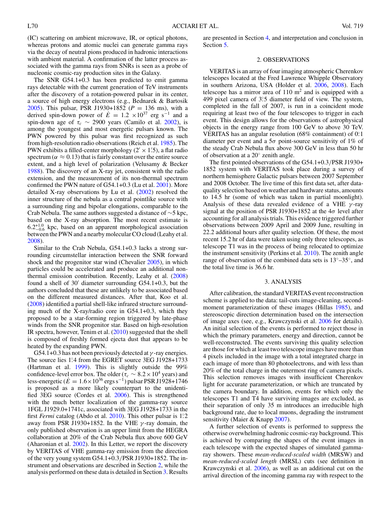(IC) scattering on ambient microwave, IR, or optical photons, whereas protons and atomic nuclei can generate gamma rays via the decay of neutral pions produced in hadronic interactions with ambient material. A confirmation of the latter process associated with the gamma rays from SNRs is seen as a probe of nucleonic cosmic-ray production sites in the Galaxy.

The SNR G54.1+0.3 has been predicted to emit gamma rays detectable with the current generation of TeV instruments after the discovery of a rotation-powered pulsar in its center, a source of high energy electrons (e.g., Bednarek & Bartosik [2005\)](#page-5-0). This pulsar, PSR J1930+1852 ( $P = 136$  ms), with a derived spin-down power of  $\dot{E} = 1.2 \times 10^{37}$  erg s<sup>-1</sup> and a spin-down age of  $\tau_c \sim 2900$  years (Camilo et al. [2002\)](#page-5-0), is among the youngest and most energetic pulsars known. The PWN powered by this pulsar was first recognized as such from high-resolution radio observations (Reich et al. [1985\)](#page-5-0). The PWN exhibits a filled-center morphology ( $2' \times 1'$ .5), a flat radio spectrum ( $\alpha \approx 0.13$ ) that is fairly constant over the entire source extent, and a high level of polarization (Velusamy & Becker [1988\)](#page-5-0). The discovery of an X-ray jet, consistent with the radio extension, and the measurement of its non-thermal spectrum confirmed the PWN nature of G54.1+0.3 (Lu et al. [2001\)](#page-5-0). More detailed X-ray observations by Lu et al. [\(2002\)](#page-5-0) resolved the inner structure of the nebula as a central pointlike source with a surrounding ring and bipolar elongations, comparable to the Crab Nebula. The same authors suggested a distance of ∼5 kpc, based on the X-ray absorption. The most recent estimate is  $6.2^{+1.0}_{-0.6}$  kpc, based on an apparent morphological association between the PWN and a nearby molecular CO cloud (Leahy et al. [2008\)](#page-5-0).

Similar to the Crab Nebula, G54.1+0.3 lacks a strong surrounding circumstellar interaction between the SNR forward shock and the progenitor star wind (Chevalier [2005\)](#page-5-0), in which particles could be accelerated and produce an additional nonthermal emission contribution. Recently, Leahy et al. [\(2008\)](#page-5-0) found a shell of 30 diameter surrounding G54.1+0.3, but the authors concluded that these are unlikely to be associated based on the different measured distances. After that, Koo et al. [\(2008\)](#page-5-0) identified a partial shell-like infrared structure surrounding much of the X-ray/radio core in G54.1+0.3, which they proposed to be a star-forming region triggered by late-phase winds from the SNR progenitor star. Based on high-resolution IR spectra, however, Tenim et al. [\(2010\)](#page-5-0) suggested that the shell is composed of freshly formed ejecta dust that appears to be heated by the expanding PWN.

G54.1+0.3 has not been previously detected at *γ* -ray energies. The source lies 1.<sup>2</sup> from the EGRET source 3EG J1928+1733 (Hartman et al. [1999\)](#page-5-0). This is slightly outside the 99% confidence-level error box. The older ( $\tau_c \sim 8.2 \times 10^4$  years) and less-energetic ( $\dot{E} = 1.6 \times 10^{36}$  ergs s<sup>-1</sup>) pulsar PSR J1928+1746 is proposed as a more likely counterpart to the unidentified 3EG source (Cordes et al. [2006\)](#page-5-0). This is strengthened with the much better localization of the gamma-ray source 1FGL J1929.0+1741c, associated with 3EG J1928+1733 in the first *Fermi* catalog (Abdo et al. [2010\)](#page-5-0). This other pulsar is 1*.* ◦2 away from PSR J1930+1852. In the VHE *γ* -ray domain, the only published observation is an upper limit from the HEGRA collaboration at 20% of the Crab Nebula flux above 600 GeV (Aharonian et al. [2002\)](#page-5-0). In this Letter, we report the discovery by VERITAS of VHE gamma-ray emission from the direction of the very young system G54.1+0.3*/*PSR J1930+1852. The instrument and observations are described in Section 2, while the analysis performed on these data is detailed in Section 3. Results

are presented in Section [4,](#page-3-0) and interpretation and conclusion in Section [5.](#page-4-0)

#### 2. OBSERVATIONS

VERITAS is an array of four imaging atmospheric Cherenkov telescopes located at the Fred Lawrence Whipple Observatory in southern Arizona, USA (Holder et al. [2006,](#page-5-0) [2008\)](#page-5-0). Each telescope has a mirror area of  $110 \text{ m}^2$  and is equipped with a 499 pixel camera of 3°.5 diameter field of view. The system, completed in the fall of 2007, is run in a coincident mode requiring at least two of the four telescopes to trigger in each event. This design allows for the observations of astrophysical objects in the energy range from 100 GeV to above 30 TeV. VERITAS has an angular resolution (68% containment) of 0*.* ◦1 diameter per event and a 5*σ* point-source sensitivity of 1% of the steady Crab Nebula flux above 300 GeV in less than 50 hr of observation at a 20◦ zenith angle.

The first pointed observations of the G54.1+0.3*/*PSR J1930+ 1852 system with VERITAS took place during a survey of northern hemisphere Galactic pulsars between 2007 September and 2008 October. The live time of this first data set, after dataquality selection based on weather and hardware status, amounts to 14.5 hr (some of which was taken in partial moonlight). Analysis of these data revealed evidence of a VHE *γ* -ray signal at the position of PSR J1930+1852 at the 4*σ* level after accounting for all analysis trials. This evidence triggered further observations between 2009 April and 2009 June, resulting in 22.2 additional hours after quality selection. Of these, the most recent 15.2 hr of data were taken using only three telescopes, as telescope T1 was in the process of being relocated to optimize the instrument sensitivity (Perkins et al. [2010\)](#page-5-0). The zenith angle range of observation of the combined data sets is  $13°-35°$ , and the total live time is 36.6 hr.

#### 3. ANALYSIS

After calibration, the standard VERITAS event reconstruction scheme is applied to the data: tail-cuts image-cleaning, second-moment parameterization of these images (Hillas [1985\)](#page-5-0), and stereoscopic direction determination based on the intersection of image axes (see, e.g., Krawczynski et al. [2006](#page-5-0) for details). An initial selection of the events is performed to reject those in which the primary parameters, energy and direction, cannot be well-reconstructed. The events surviving this quality selection are those for which at least two telescope images have more than 4 pixels included in the image with a total integrated charge in each image of more than 80 photoelectrons, and with less than 20% of the total charge in the outermost ring of camera pixels. This selection removes images with insufficient Cherenkov light for accurate parameterization, or which are truncated by the camera boundary. In addition, events for which only the telescopes T1 and T4 have surviving images are excluded, as their separation of only 35 m introduces an irreducible high background rate, due to local muons, degrading the instrument sensitivity (Maier & Knapp [2007\)](#page-5-0).

A further selection of events is performed to suppress the otherwise overwhelming hadronic cosmic-ray background. This is achieved by comparing the shapes of the event images in each telescope with the expected shapes of simulated gammaray showers. These *mean-reduced-scaled width* (MRSW) and *mean-reduced-scaled length* (MRSL) cuts (see definition in Krawczynski et al. [2006\)](#page-5-0), as well as an additional cut on the arrival direction of the incoming gamma ray with respect to the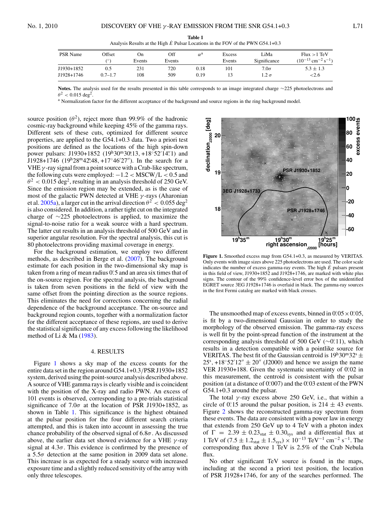<span id="page-3-0"></span>

| <b>PSR</b> Name | Offset<br>70 | On)<br>Events | Off<br>Events | $\alpha^{\rm a}$ | Excess<br>Events | LiMa<br>Significance | Flux > 1 TeV<br>$(10^{-13}$ cm <sup>-2</sup> s <sup>-1</sup> ) |
|-----------------|--------------|---------------|---------------|------------------|------------------|----------------------|----------------------------------------------------------------|
| J1930+1852      | U.S          | 231           | 720           | 0.18             | 101              | $7.0\sigma$          | $5.3 \pm 1.3$                                                  |
| J1928+1746      | 0.7–1.7      | 108           | 509           | 0.19             |                  | $1.2\ \sigma$        | ${<}2.6$                                                       |

**Table 1** Analysis Results at the High  $\dot{E}$  Pulsar Locations in the FOV of the PWN G54.1+0.3

**Notes.** The analysis used for the results presented in this table corresponds to an image integrated charge ∼225 photoelectrons and  $\theta^2$  < 0.015 deg<sup>2</sup>.

<sup>a</sup> Normalization factor for the different acceptance of the background and source regions in the ring background model.

source position  $(\theta^2)$ , reject more than 99.9% of the hadronic cosmic-ray background while keeping 45% of the gamma rays. Different sets of these cuts, optimized for different source properties, are applied to the G54.1+0.3 data. Two a priori test positions are defined as the locations of the high spin-down power pulsars: J1930+1852 (19<sup>h</sup>30<sup>m</sup>30°.13, +18°52′14′.1) and J1928+1746 (19h28m42*.* s 48*,* +17◦46 27). In the search for a VHE*γ* -ray signal from a point source with a Crab-like spectrum, the following cuts were employed: −1.2 *<* MSCW*/*L *<* 0.5 and  $\theta^2$  < 0.015 deg<sup>2</sup>, resulting in an analysis threshold of 250 GeV. Since the emission region may be extended, as is the case of most of the galactic PWN detected at VHE *γ* -rays (Aharonian et al. [2005a\)](#page-5-0), a larger cut in the arrival direction  $\theta^2 < 0.055 \text{ deg}^2$ is also considered. In addition, a rather tight cut on the integrated charge of ∼225 photoelectrons is applied, to maximize the signal-to-noise ratio for a weak source with a hard spectrum. The latter cut results in an analysis threshold of 500 GeV and in superior angular resolution. For the spectral analysis, this cut is 80 photoelectrons providing maximal coverage in energy.

For the background estimation, we employ two different methods, as described in Berge et al. [\(2007\)](#page-5-0). The background estimate for each position in the two-dimensional sky map is taken from a ring of mean radius 0.5 and an area six times that of the on-source region. For the spectral analysis, the background is taken from seven positions in the field of view with the same offset from the pointing direction as the source regions. This eliminates the need for corrections concerning the radial dependence of the background acceptance. The on-source and background region counts, together with a normalization factor for the different acceptance of these regions, are used to derive the statistical significance of any excess following the likelihood method of Li & Ma [\(1983\)](#page-5-0).

### 4. RESULTS

Figure 1 shows a sky map of the excess counts for the entire data set in the region around G54.1+0.3*/*PSR J1930+1852 system, derived using the point-source analysis described above. A source of VHE gamma rays is clearly visible and is coincident with the position of the X-ray and radio PWN. An excess of 101 events is observed, corresponding to a pre-trials statistical significance of  $7.0\sigma$  at the location of PSR J1930+1852, as shown in Table 1. This significance is the highest obtained at the pulsar position for the four different search criteria attempted, and this is taken into account in assessing the true chance probability of the observed signal of 6.8*σ*. As discussed above, the earlier data set showed evidence for a VHE *γ* -ray signal at  $4.3\sigma$ . This evidence is confirmed by the presence of a 5.5*σ* detection at the same position in 2009 data set alone. This increase is as expected for a steady source with increased exposure time and a slightly reduced sensitivity of the array with only three telescopes.



**Figure 1.** Smoothed excess map from G54.1+0.3, as measured by VERITAS. Only events with image sizes above 225 photoelectrons are used. The color scale indicates the number of excess gamma-ray events. The high  $\dot{E}$  pulsars present in this field of view, J1930+1852 and J1928+1746, are marked with white plus signs. The contour of the 99% confidence-level error box of the unidentified EGRET source 3EG J1928+1746 is overlaid in black. The gamma-ray sources in the first Fermi catalog are marked with black crosses.

The unsmoothed map of excess events, binned in  $0.05 \times 0.05$ , is fit by a two-dimensional Gaussian in order to study the morphology of the observed emission. The gamma-ray excess is well fit by the point-spread function of the instrument at the corresponding analysis threshold of 500 GeV (∼0.11), which results in a detection compatible with a pointlike source for VERITAS. The best fit of the Gaussian centroid is  $19^h30^m32^s \pm$  $25^{\circ}$ , +18°52'12"  $\pm$  20" (J2000) and hence we assign the name VER J1930+188. Given the systematic uncertainty of 0.02 in this measurement, the centroid is consistent with the pulsar position (at a distance of 0.007) and the 0.03 extent of the PWN G54.1+0.3 around the pulsar.

The total  $\gamma$ -ray excess above 250 GeV, i.e., that within a circle of  $0^\circ$ 15 around the pulsar position, is  $214 \pm 43$  events. Figure [2](#page-4-0) shows the reconstructed gamma-ray spectrum from these events. The data are consistent with a power law in energy that extends from 250 GeV up to 4 TeV with a photon index of  $\Gamma$  = 2.39  $\pm$  0.23<sub>stat</sub>  $\pm$  0.30<sub>sys</sub> and a differential flux at 1 TeV of  $(7.5 \pm 1.2<sub>stat</sub> \pm 1.5<sub>sys</sub>) \times 10<sup>-13</sup>$  TeV<sup>-1</sup> cm<sup>-2</sup> s<sup>-1</sup>. The corresponding flux above 1 TeV is 2*.*5% of the Crab Nebula flux.

No other significant TeV source is found in the maps, including at the second a priori test position, the location of PSR J1928+1746, for any of the searches performed. The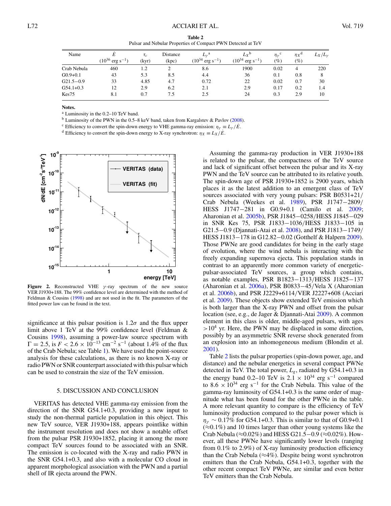**Table 2** Pulsar and Nebular Properties of Compact PWN Detected at TeV

<span id="page-4-0"></span>

| Name         | $(10^{36} \text{ erg s}^{-1})$ | $\tau_c$<br>(kyr) | Distance<br>(kpc) | $L_{\nu}^{\rm a}$<br>$(10^{34}$<br>$\sim$ $\cdot$ erg s <sup>-1</sup> | $L_X$ <sup>b</sup><br>$(10^{34} \text{ erg s}^{-1})$ | $\eta_{\gamma}^{\text{c}}$<br>$(\%)$ | $\eta_X$ <sup>d</sup><br>(9) | $L_X/L_\gamma$ |
|--------------|--------------------------------|-------------------|-------------------|-----------------------------------------------------------------------|------------------------------------------------------|--------------------------------------|------------------------------|----------------|
| Crab Nebula  | 460                            | 1.2               |                   | 8.6                                                                   | 1900                                                 | 0.02                                 | 4                            | 220            |
| $G0.9+0.1$   | 43                             | 5.3               | 8.5               | 4.4                                                                   | 36                                                   | 0.1                                  | 0.8                          |                |
| $G21.5-0.9$  | 33                             | 4.85              | 4.7               | 0.72                                                                  | 22                                                   | 0.02                                 | 0.7                          | 30             |
| $G$ 54.1+0.3 | 12                             | 2.9               | 6.2               | 2.1                                                                   | 2.9                                                  | 0.17                                 | 0.2                          | 1.4            |
| Kes75        | 8.1                            | 0.7               | 7.5               | 2.5                                                                   | 24                                                   | 0.3                                  | 2.9                          | 10             |

**Notes.**

<sup>a</sup> Luminosity in the 0.2–10 TeV band.

<sup>b</sup> Luminosity of the PWN in the 0.5–8 keV band, taken from Kargalstev & Pavlov [\(2008\)](#page-5-0).

<sup>c</sup> Efficiency to convert the spin-down energy to VHE gamma-ray emission:  $\eta_{\gamma} \equiv L_{\gamma}/E$ . d Efficiency to convert the spin-down energy to X-ray synchrotron:  $\eta_X \equiv L_X/E$ .



**Figure 2.** Reconstructed VHE *γ* -ray spectrum of the new source VER J1930+188. The 99% confidence level are determined with the method of Feldman & Cousins [\(1998\)](#page-5-0) and are not used in the fit. The parameters of the fitted power law can be found in the text.

significance at this pulsar position is  $1.2\sigma$  and the flux upper limit above 1 TeV at the 99% confidence level (Feldman & Cousins [1998\)](#page-5-0), assuming a power-law source spectrum with  $\Gamma = 2.5$ , is  $F < 2.6 \times 10^{-13}$  cm<sup>-2</sup> s<sup>-1</sup> (about 1.4% of the flux of the Crab Nebula; see Table [1\)](#page-3-0). We have used the point-source analysis for these calculations, as there is no known X-ray or radio PWN or SNR counterpart associated with this pulsar which can be used to constrain the size of the TeV emission.

#### 5. DISCUSSION AND CONCLUSION

VERITAS has detected VHE gamma-ray emission from the direction of the SNR G54.1+0.3, providing a new input to study the non-thermal particle population in this object. This new TeV source, VER J1930+188, appears pointlike within the instrument resolution and does not show a notable offset from the pulsar PSR J1930+1852, placing it among the more compact TeV sources found to be associated with an SNR. The emission is co-located with the X-ray and radio PWN in the SNR G54.1+0.3, and also with a molecular CO cloud in apparent morphological association with the PWN and a partial shell of IR ejecta around the PWN.

Assuming the gamma-ray production in VER J1930+188 is related to the pulsar, the compactness of the TeV source and lack of significant offset between the pulsar and its X-ray PWN and the TeV source can be attributed to its relative youth. The spin-down age of PSR J1930+1852 is 2900 years, which places it as the latest addition to an emergent class of TeV sources associated with very young pulsars: PSR B0531+21*/* Crab Nebula (Weekes et al. [1989\)](#page-5-0), PSR J1747−2809*/* HESS J1747−281 in G0.9+0.1 (Camilo et al. [2009;](#page-5-0) Aharonian et al. [2005b\)](#page-5-0), PSR J1845−0258*/*HESS J1845−029 in SNR Kes 75, PSR J1833−1036*/*HESS J1833−105 in G21.5−0.9 (Djannati-Atai et al. [2008\)](#page-5-0), and PSR J1813−1749*/* HESS J1813−178 in G12.82−0.02 (Gotthelf & Halpern [2009\)](#page-5-0). Those PWNe are good candidates for being in the early stage of evolution, where the wind nebula is interacting with the freely expanding supernova ejecta. This population stands in contrast to an apparently more common variety of energeticpulsar-associated TeV sources, a group which contains, as notable examples, PSR B1823−1313*/*HESS J1825−137 (Aharonian et al. [2006a\)](#page-5-0), PSR B0833−45*/*Vela X (Aharonian et al. [2006b\)](#page-5-0), and PSR J2229+6114*/*VER J2227+608 (Acciari et al. [2009\)](#page-5-0). These objects show extended TeV emission which is both larger than the X-ray PWN and offset from the pulsar location (see, e.g., de Jager & Djannati-Atai [2009\)](#page-5-0). A common element in this class is older, middle-aged pulsars, with ages *>*104 yr. Here, the PWN may be displaced in some direction, possibly by an asymmetric SNR reverse shock generated from an explosion into an inhomogeneous medium (Blondin et al. [2001\)](#page-5-0).

Table 2 lists the pulsar properties (spin-down power, age, and distance) and the nebular energetics in several compact PWNe detected in TeV. The total power, *Lg*, radiated by G54.1+0.3 in the energy band 0.2–10 TeV is  $2.1 \times 10^{34}$  erg s<sup>-1</sup> compared to 8.6  $\times$  10<sup>34</sup> erg s<sup>-1</sup> for the Crab Nebula. This value of the gamma-ray luminosity of G54.1+0.3 is the same order of magnitude what has been found for the other PWNe in the table. A more relevant quantity to compare is the efficiency of TeV luminosity production compared to the pulsar power which is  $\eta_{\gamma} \sim 0.17\%$  for G54.1+0.3. This is similar to that of G0.9+0.1  $(\approx 0.1\%)$  and 10 times larger than other young systems like the Crab Nebula ( $\approx$ 0.02%) and HESS G21.5–0.9 ( $\approx$ 0.02%). However, all these PWNe have significantly lower levels (ranging from 0.1% to 2.9%) of X-ray luminosity production efficiency than the Crab Nebula ( $\approx$ 4%). Despite being worst synchrotron emitters than the Crab Nebula, G54.1+0.3, together with the other recent compact TeV PWNe, are similar and even better TeV emitters than the Crab Nebula.